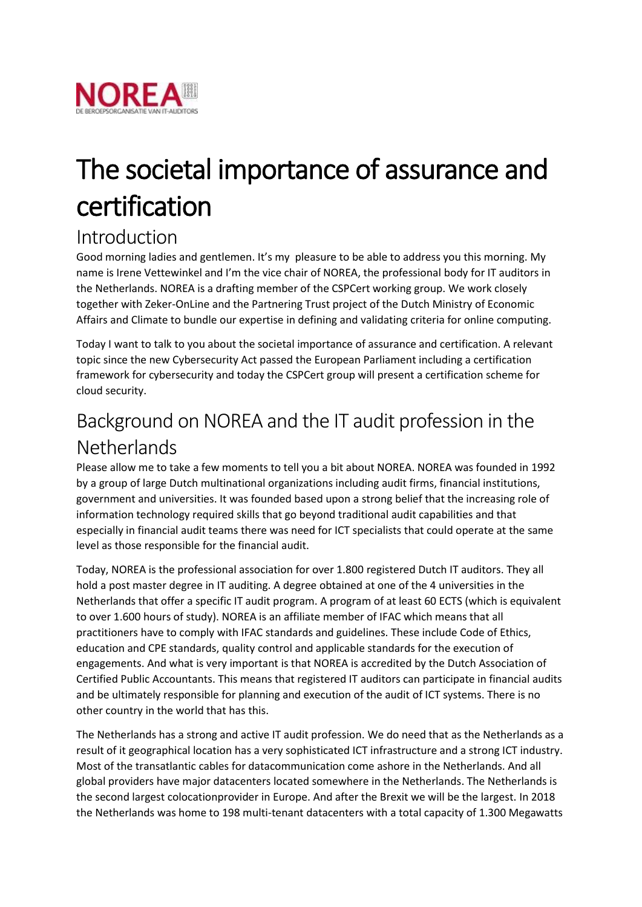

# The societal importance of assurance and certification

#### Introduction

Good morning ladies and gentlemen. It's my pleasure to be able to address you this morning. My name is Irene Vettewinkel and I'm the vice chair of NOREA, the professional body for IT auditors in the Netherlands. NOREA is a drafting member of the CSPCert working group. We work closely together with Zeker-OnLine and the Partnering Trust project of the Dutch Ministry of Economic Affairs and Climate to bundle our expertise in defining and validating criteria for online computing.

Today I want to talk to you about the societal importance of assurance and certification. A relevant topic since the new Cybersecurity Act passed the European Parliament including a certification framework for cybersecurity and today the CSPCert group will present a certification scheme for cloud security.

# Background on NOREA and the IT audit profession in the **Netherlands**

Please allow me to take a few moments to tell you a bit about NOREA. NOREA was founded in 1992 by a group of large Dutch multinational organizations including audit firms, financial institutions, government and universities. It was founded based upon a strong belief that the increasing role of information technology required skills that go beyond traditional audit capabilities and that especially in financial audit teams there was need for ICT specialists that could operate at the same level as those responsible for the financial audit.

Today, NOREA is the professional association for over 1.800 registered Dutch IT auditors. They all hold a post master degree in IT auditing. A degree obtained at one of the 4 universities in the Netherlands that offer a specific IT audit program. A program of at least 60 ECTS (which is equivalent to over 1.600 hours of study). NOREA is an affiliate member of IFAC which means that all practitioners have to comply with IFAC standards and guidelines. These include Code of Ethics, education and CPE standards, quality control and applicable standards for the execution of engagements. And what is very important is that NOREA is accredited by the Dutch Association of Certified Public Accountants. This means that registered IT auditors can participate in financial audits and be ultimately responsible for planning and execution of the audit of ICT systems. There is no other country in the world that has this.

The Netherlands has a strong and active IT audit profession. We do need that as the Netherlands as a result of it geographical location has a very sophisticated ICT infrastructure and a strong ICT industry. Most of the transatlantic cables for datacommunication come ashore in the Netherlands. And all global providers have major datacenters located somewhere in the Netherlands. The Netherlands is the second largest colocationprovider in Europe. And after the Brexit we will be the largest. In 2018 the Netherlands was home to 198 multi-tenant datacenters with a total capacity of 1.300 Megawatts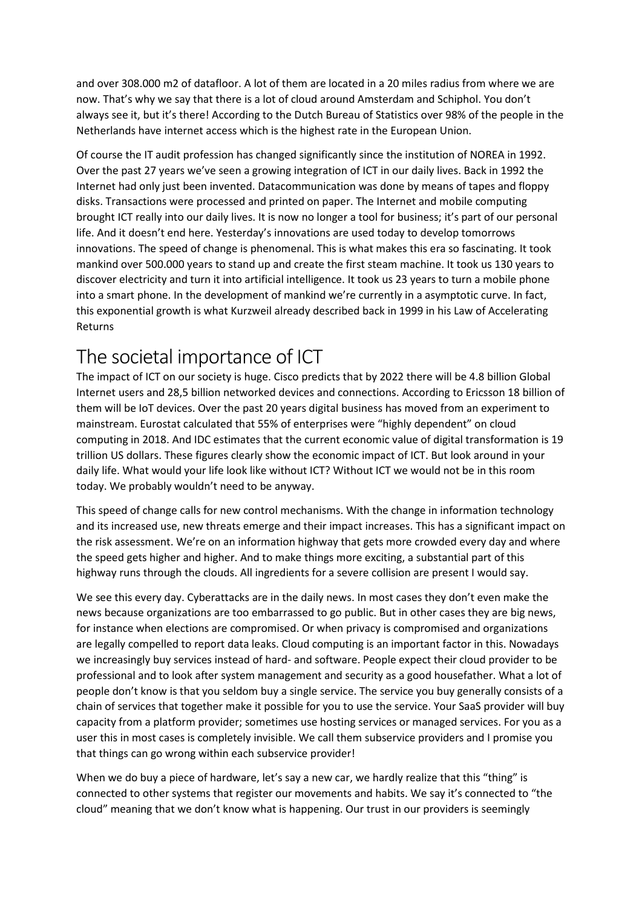and over 308.000 m2 of datafloor. A lot of them are located in a 20 miles radius from where we are now. That's why we say that there is a lot of cloud around Amsterdam and Schiphol. You don't always see it, but it's there! According to the Dutch Bureau of Statistics over 98% of the people in the Netherlands have internet access which is the highest rate in the European Union.

Of course the IT audit profession has changed significantly since the institution of NOREA in 1992. Over the past 27 years we've seen a growing integration of ICT in our daily lives. Back in 1992 the Internet had only just been invented. Datacommunication was done by means of tapes and floppy disks. Transactions were processed and printed on paper. The Internet and mobile computing brought ICT really into our daily lives. It is now no longer a tool for business; it's part of our personal life. And it doesn't end here. Yesterday's innovations are used today to develop tomorrows innovations. The speed of change is phenomenal. This is what makes this era so fascinating. It took mankind over 500.000 years to stand up and create the first steam machine. It took us 130 years to discover electricity and turn it into artificial intelligence. It took us 23 years to turn a mobile phone into a smart phone. In the development of mankind we're currently in a asymptotic curve. In fact, this exponential growth is what Kurzweil already described back in 1999 in his Law of Accelerating Returns

## The societal importance of ICT

The impact of ICT on our society is huge. Cisco predicts that by 2022 there will be 4.8 billion Global Internet users and 28,5 billion networked devices and connections. According to Ericsson 18 billion of them will be IoT devices. Over the past 20 years digital business has moved from an experiment to mainstream. Eurostat calculated that 55% of enterprises were "highly dependent" on cloud computing in 2018. And IDC estimates that the current economic value of digital transformation is 19 trillion US dollars. These figures clearly show the economic impact of ICT. But look around in your daily life. What would your life look like without ICT? Without ICT we would not be in this room today. We probably wouldn't need to be anyway.

This speed of change calls for new control mechanisms. With the change in information technology and its increased use, new threats emerge and their impact increases. This has a significant impact on the risk assessment. We're on an information highway that gets more crowded every day and where the speed gets higher and higher. And to make things more exciting, a substantial part of this highway runs through the clouds. All ingredients for a severe collision are present I would say.

We see this every day. Cyberattacks are in the daily news. In most cases they don't even make the news because organizations are too embarrassed to go public. But in other cases they are big news, for instance when elections are compromised. Or when privacy is compromised and organizations are legally compelled to report data leaks. Cloud computing is an important factor in this. Nowadays we increasingly buy services instead of hard- and software. People expect their cloud provider to be professional and to look after system management and security as a good housefather. What a lot of people don't know is that you seldom buy a single service. The service you buy generally consists of a chain of services that together make it possible for you to use the service. Your SaaS provider will buy capacity from a platform provider; sometimes use hosting services or managed services. For you as a user this in most cases is completely invisible. We call them subservice providers and I promise you that things can go wrong within each subservice provider!

When we do buy a piece of hardware, let's say a new car, we hardly realize that this "thing" is connected to other systems that register our movements and habits. We say it's connected to "the cloud" meaning that we don't know what is happening. Our trust in our providers is seemingly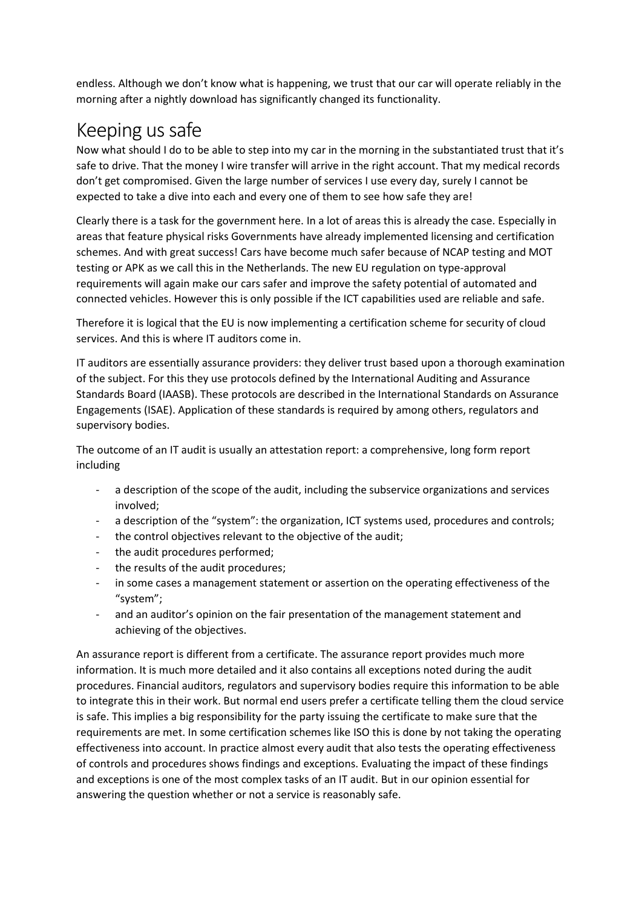endless. Although we don't know what is happening, we trust that our car will operate reliably in the morning after a nightly download has significantly changed its functionality.

#### Keeping us safe

Now what should I do to be able to step into my car in the morning in the substantiated trust that it's safe to drive. That the money I wire transfer will arrive in the right account. That my medical records don't get compromised. Given the large number of services I use every day, surely I cannot be expected to take a dive into each and every one of them to see how safe they are!

Clearly there is a task for the government here. In a lot of areas this is already the case. Especially in areas that feature physical risks Governments have already implemented licensing and certification schemes. And with great success! Cars have become much safer because of NCAP testing and MOT testing or APK as we call this in the Netherlands. The new EU regulation on type-approval requirements will again make our cars safer and improve the safety potential of automated and connected vehicles. However this is only possible if the ICT capabilities used are reliable and safe.

Therefore it is logical that the EU is now implementing a certification scheme for security of cloud services. And this is where IT auditors come in.

IT auditors are essentially assurance providers: they deliver trust based upon a thorough examination of the subject. For this they use protocols defined by the International Auditing and Assurance Standards Board (IAASB). These protocols are described in the International Standards on Assurance Engagements (ISAE). Application of these standards is required by among others, regulators and supervisory bodies.

The outcome of an IT audit is usually an attestation report: a comprehensive, long form report including

- a description of the scope of the audit, including the subservice organizations and services involved;
- a description of the "system": the organization, ICT systems used, procedures and controls;
- the control objectives relevant to the objective of the audit;
- the audit procedures performed;
- the results of the audit procedures;
- in some cases a management statement or assertion on the operating effectiveness of the "system";
- and an auditor's opinion on the fair presentation of the management statement and achieving of the objectives.

An assurance report is different from a certificate. The assurance report provides much more information. It is much more detailed and it also contains all exceptions noted during the audit procedures. Financial auditors, regulators and supervisory bodies require this information to be able to integrate this in their work. But normal end users prefer a certificate telling them the cloud service is safe. This implies a big responsibility for the party issuing the certificate to make sure that the requirements are met. In some certification schemes like ISO this is done by not taking the operating effectiveness into account. In practice almost every audit that also tests the operating effectiveness of controls and procedures shows findings and exceptions. Evaluating the impact of these findings and exceptions is one of the most complex tasks of an IT audit. But in our opinion essential for answering the question whether or not a service is reasonably safe.